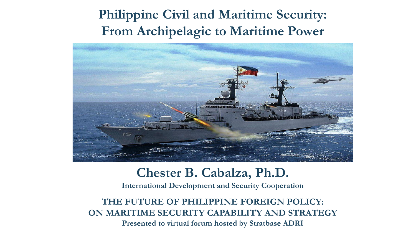## **Philippine Civil and Maritime Security: From Archipelagic to Maritime Power**



#### **Chester B. Cabalza, Ph.D.**

**International Development and Security Cooperation**

**THE FUTURE OF PHILIPPINE FOREIGN POLICY: ON MARITIME SECURITY CAPABILITY AND STRATEGY Presented to virtual forum hosted by Stratbase ADRI**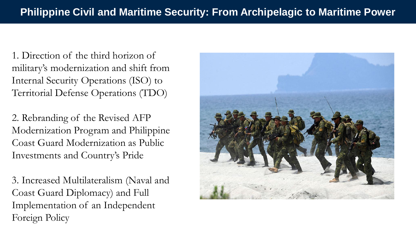1. Direction of the third horizon of military's modernization and shift from Internal Security Operations (ISO) to Territorial Defense Operations (TDO)

2. Rebranding of the Revised AFP Modernization Program and Philippine Coast Guard Modernization as Public Investments and Country's Pride

3. Increased Multilateralism (Naval and Coast Guard Diplomacy) and Full Implementation of an Independent Foreign Policy

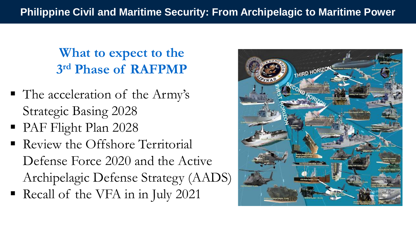## **What to expect to the 3 rd Phase of RAFPMP**

- The acceleration of the Army's Strategic Basing 2028
- PAF Flight Plan 2028
- **Review the Offshore Territorial** Defense Force 2020 and the Active Archipelagic Defense Strategy (AADS)
- Recall of the VFA in in July 2021

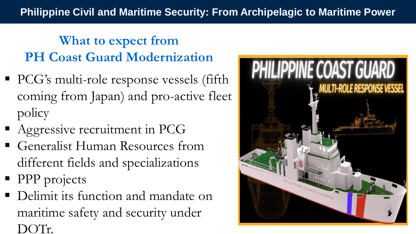## **What to expect from PH Coast Guard Modernization**

- PCG's multi-role response vessels (fifth coming from Japan) and pro-active fleet policy
- Aggressive recruitment in PCG
- **Exercise Generalist Human Resources from** different fields and specializations
- **PPP** projects
- Delimit its function and mandate on maritime safety and security under DOTr.

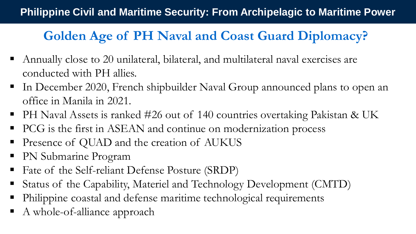#### **Philippine Civil and Maritime Security: From Archipelagic to Maritime Power**

## **Golden Age of PH Naval and Coast Guard Diplomacy?**

- Annually close to 20 unilateral, bilateral, and multilateral naval exercises are conducted with PH allies.
- In December 2020, French shipbuilder Naval Group announced plans to open an office in Manila in 2021.
- **PH Naval Assets is ranked #26 out of 140 countries overtaking Pakistan & UK**
- PCG is the first in ASEAN and continue on modernization process
- Presence of QUAD and the creation of AUKUS
- PN Submarine Program
- Fate of the Self-reliant Defense Posture (SRDP)
- Status of the Capability, Materiel and Technology Development (CMTD)
- Philippine coastal and defense maritime technological requirements
- A whole-of-alliance approach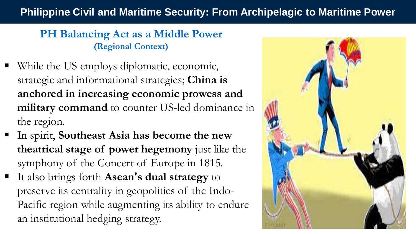#### **Philippine Civil and Maritime Security: From Archipelagic to Maritime Power**

#### **PH Balancing Act as a Middle Power (Regional Context)**

- While the US employs diplomatic, economic, strategic and informational strategies; **China is anchored in increasing economic prowess and military command** to counter US-led dominance in the region.
- In spirit, **Southeast Asia has become the new theatrical stage of power hegemony** just like the symphony of the Concert of Europe in 1815.
- It also brings forth **Asean's dual strategy** to preserve its centrality in geopolitics of the Indo-Pacific region while augmenting its ability to endure an institutional hedging strategy.

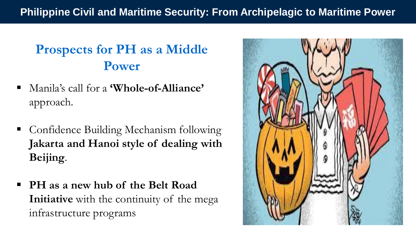### **Prospects for PH as a Middle Power**

- Manila's call for a **'Whole-of-Alliance'**  approach.
- Confidence Building Mechanism following **Jakarta and Hanoi style of dealing with Beijing**.
- **PH** as a new hub of the Belt Road **Initiative** with the continuity of the mega infrastructure programs

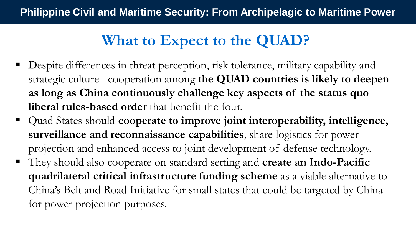## **What to Expect to the QUAD?**

- Despite differences in threat perception, risk tolerance, military capability and strategic culture―cooperation among **the QUAD countries is likely to deepen as long as China continuously challenge key aspects of the status quo liberal rules-based order** that benefit the four.
- Quad States should **cooperate to improve joint interoperability, intelligence, surveillance and reconnaissance capabilities**, share logistics for power projection and enhanced access to joint development of defense technology.
- They should also cooperate on standard setting and **create an Indo-Pacific quadrilateral critical infrastructure funding scheme** as a viable alternative to China's Belt and Road Initiative for small states that could be targeted by China for power projection purposes.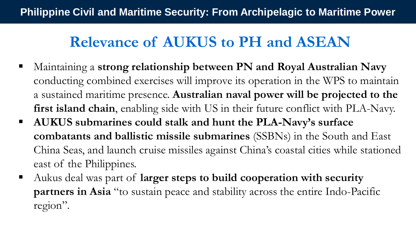# **Relevance of AUKUS to PH and ASEAN**

- Maintaining a strong relationship between PN and Royal Australian Navy conducting combined exercises will improve its operation in the WPS to maintain a sustained maritime presence. **Australian naval power will be projected to the first island chain**, enabling side with US in their future conflict with PLA-Navy.
- **AUKUS submarines could stalk and hunt the PLA-Navy's surface combatants and ballistic missile submarines** (SSBNs) in the South and East China Seas, and launch cruise missiles against China's coastal cities while stationed east of the Philippines.
- Aukus deal was part of **larger steps to build cooperation with security partners in Asia** "to sustain peace and stability across the entire Indo-Pacific region".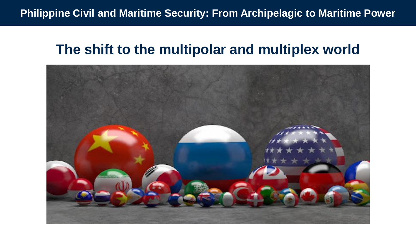### **The shift to the multipolar and multiplex world**

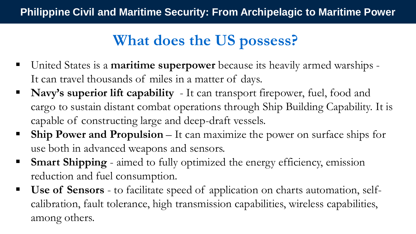# **What does the US possess?**

- United States is a **maritime superpower** because its heavily armed warships It can travel thousands of miles in a matter of days.
- **Navy's superior lift capability**  It can transport firepower, fuel, food and cargo to sustain distant combat operations through Ship Building Capability. It is capable of constructing large and deep-draft vessels.
- **Ship Power and Propulsion** It can maximize the power on surface ships for use both in advanced weapons and sensors.
- **Smart Shipping** aimed to fully optimized the energy efficiency, emission reduction and fuel consumption.
- **Use of Sensors** to facilitate speed of application on charts automation, selfcalibration, fault tolerance, high transmission capabilities, wireless capabilities, among others.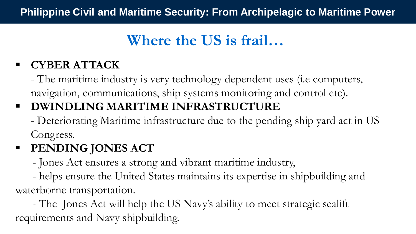# **Where the US is frail…**

### ▪ **CYBER ATTACK**

- The maritime industry is very technology dependent uses (i.e computers, navigation, communications, ship systems monitoring and control etc).
- **DWINDLING MARITIME INFRASTRUCTURE**
	- Deteriorating Maritime infrastructure due to the pending ship yard act in US Congress.

## ▪ **PENDING JONES ACT**

- Jones Act ensures a strong and vibrant maritime industry,
- helps ensure the United States maintains its expertise in shipbuilding and waterborne transportation.

- The Jones Act will help the US Navy's ability to meet strategic sealift requirements and Navy shipbuilding.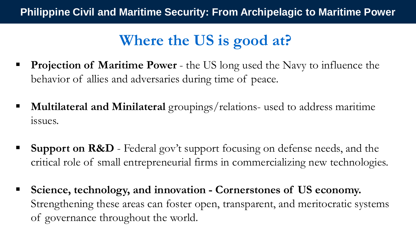**Philippine Civil and Maritime Security: From Archipelagic to Maritime Power**

# **Where the US is good at?**

- **Projection of Maritime Power** the US long used the Navy to influence the behavior of allies and adversaries during time of peace.
- **Multilateral and Minilateral** groupings/relations- used to address maritime issues.
- **Support on R&D** Federal gov't support focusing on defense needs, and the critical role of small entrepreneurial firms in commercializing new technologies.
- Science, technology, and innovation Cornerstones of US economy. Strengthening these areas can foster open, transparent, and meritocratic systems of governance throughout the world.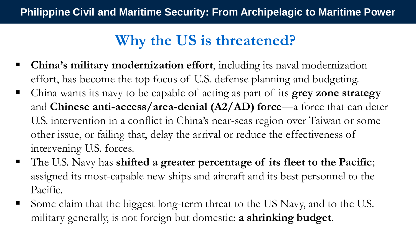# **Why the US is threatened?**

- **China's military modernization effort**, including its naval modernization effort, has become the top focus of U.S. defense planning and budgeting.
- China wants its navy to be capable of acting as part of its **grey zone strategy**  and **Chinese anti-access/area-denial (A2/AD) force**—a force that can deter U.S. intervention in a conflict in China's near-seas region over Taiwan or some other issue, or failing that, delay the arrival or reduce the effectiveness of intervening U.S. forces.
- The U.S. Navy has **shifted a greater percentage of its fleet to the Pacific**; assigned its most-capable new ships and aircraft and its best personnel to the Pacific.
- Some claim that the biggest long-term threat to the US Navy, and to the U.S. military generally, is not foreign but domestic: **a shrinking budget**.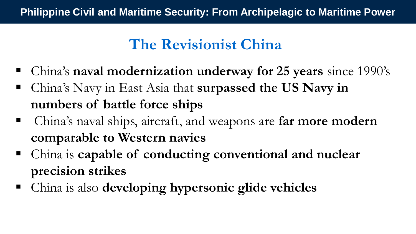# **The Revisionist China**

- China's **naval modernization underway for 25 years** since 1990's
- China's Navy in East Asia that **surpassed the US Navy in numbers of battle force ships**
- China's naval ships, aircraft, and weapons are **far more modern comparable to Western navies**
- China is **capable of conducting conventional and nuclear precision strikes**
- China is also **developing hypersonic glide vehicles**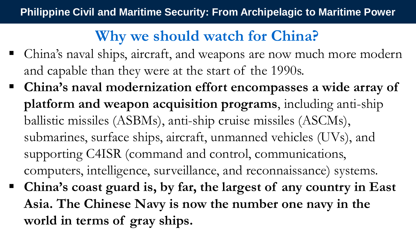## **Why we should watch for China?**

- China's naval ships, aircraft, and weapons are now much more modern and capable than they were at the start of the 1990s.
- China's naval modernization effort encompasses a wide array of **platform and weapon acquisition programs**, including anti-ship ballistic missiles (ASBMs), anti-ship cruise missiles (ASCMs), submarines, surface ships, aircraft, unmanned vehicles (UVs), and supporting C4ISR (command and control, communications, computers, intelligence, surveillance, and reconnaissance) systems.
- China's coast guard is, by far, the largest of any country in East **Asia. The Chinese Navy is now the number one navy in the world in terms of gray ships.**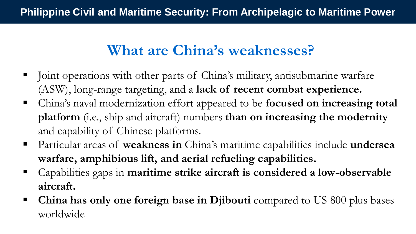# **What are China's weaknesses?**

- Joint operations with other parts of China's military, antisubmarine warfare (ASW), long-range targeting, and a **lack of recent combat experience.**
- China's naval modernization effort appeared to be **focused on increasing total platform** (i.e., ship and aircraft) numbers **than on increasing the modernity**  and capability of Chinese platforms.
- Particular areas of **weakness in** China's maritime capabilities include **undersea warfare, amphibious lift, and aerial refueling capabilities.**
- Capabilities gaps in **maritime strike aircraft is considered a low-observable aircraft.**
- **China has only one foreign base in Djibouti** compared to US 800 plus bases worldwide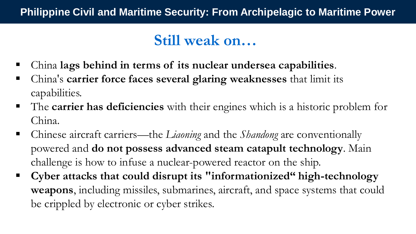## **Still weak on…**

- China **lags behind in terms of its nuclear undersea capabilities**.
- China's **carrier force faces several glaring weaknesses** that limit its capabilities.
- The **carrier has deficiencies** with their engines which is a historic problem for China.
- Chinese aircraft carriers—the *Liaoning* and the *Shandong* are conventionally powered and **do not possess advanced steam catapult technology**. Main challenge is how to infuse a nuclear-powered reactor on the ship.
- **Cyber attacks that could disrupt its "informationized" high-technology weapons**, including missiles, submarines, aircraft, and space systems that could be crippled by electronic or cyber strikes.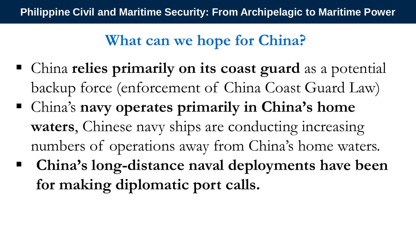## **What can we hope for China?**

- China **relies primarily on its coast guard** as a potential backup force (enforcement of China Coast Guard Law)
- China's **navy operates primarily in China's home waters**, Chinese navy ships are conducting increasing numbers of operations away from China's home waters.
- China's long-distance naval deployments have been **for making diplomatic port calls.**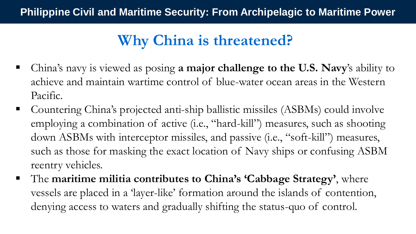# **Why China is threatened?**

- China's navy is viewed as posing **a major challenge to the U.S. Navy**'s ability to achieve and maintain wartime control of blue-water ocean areas in the Western Pacific.
- Countering China's projected anti-ship ballistic missiles (ASBMs) could involve employing a combination of active (i.e., "hard-kill") measures, such as shooting down ASBMs with interceptor missiles, and passive (i.e., "soft-kill") measures, such as those for masking the exact location of Navy ships or confusing ASBM reentry vehicles.
- The **maritime militia contributes to China's 'Cabbage Strategy'**, where vessels are placed in a 'layer-like' formation around the islands of contention, denying access to waters and gradually shifting the status-quo of control.